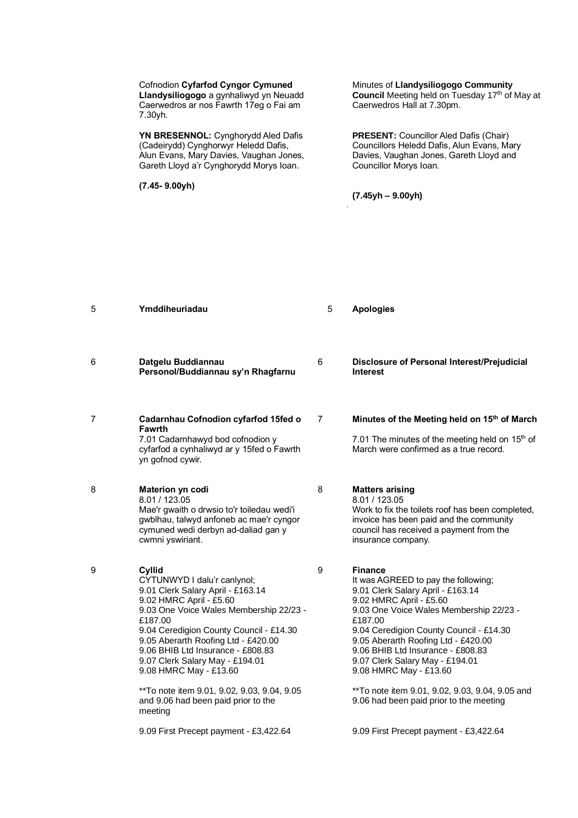Cofnodion **Cyfarfod Cyngor Cymuned Llandysiliogogo** a gynhaliwyd yn Neuadd Caerwedros ar nos Fawrth 17eg o Fai am 7.30yh.

**YN BRESENNOL:** Cynghorydd Aled Dafis (Cadeirydd) Cynghorwyr Heledd Dafis, Alun Evans, Mary Davies, Vaughan Jones, Gareth Lloyd a'r Cynghorydd Morys Ioan.

5 **Ymddiheuriadau** 5 **Apologies**

**(7.45- 9.00yh)**

Minutes of **Llandysiliogogo Community Council** Meeting held on Tuesday 17<sup>th</sup> of May at Caerwedros Hall at 7.30pm.

**PRESENT:** Councillor Aled Dafis (Chair) Councillors Heledd Dafis, Alun Evans, Mary Davies, Vaughan Jones, Gareth Lloyd and Councillor Morys Ioan.

80 **Apologies (7.45yh – 9.00yh)**

6 **Datgelu Buddiannau Personol/Buddiannau sy'n Rhagfarnu**

7

8

7 **Cadarnhau Cofnodion cyfarfod 15fed o Fawrth** 7.01 Cadarnhawyd bod cofnodion y

cyfarfod a cynhaliwyd ar y 15fed o Fawrth yn gofnod cywir.

8 **Materion yn codi**  8.01 / 123.05 Mae'r gwaith o drwsio to'r toiledau wedi'i gwblhau, talwyd anfoneb ac mae'r cyngor cymuned wedi derbyn ad-daliad gan y cwmni yswiriant.

9

**Cyllid** CYTUNWYD I dalu'r canlynol; 9.01 Clerk Salary April - £163.14 9.02 HMRC April - £5.60 9.03 One Voice Wales Membership 22/23 - £187.00 9.04 Ceredigion County Council - £14.30 9.05 Aberarth Roofing Ltd - £420.00 9.06 BHIB Ltd Insurance - £808.83 9.07 Clerk Salary May - £194.01 9.08 HMRC May - £13.60

> \*\*To note item 9.01, 9.02, 9.03, 9.04, 9.05 and 9.06 had been paid prior to the meeting

9.09 First Precept payment - £3,422.64

6 **Disclosure of Personal Interest/Prejudicial Interest** 

# **Minutes of the Meeting held on 15th of March**

7.01 The minutes of the meeting held on  $15<sup>th</sup>$  of March were confirmed as a true record.

**Matters arising** 

8.01 / 123.05 Work to fix the toilets roof has been completed, invoice has been paid and the community council has received a payment from the insurance company.

9 **Finance**

It was AGREED to pay the following; 9.01 Clerk Salary April - £163.14 9.02 HMRC April - £5.60 9.03 One Voice Wales Membership 22/23 - £187.00 9.04 Ceredigion County Council - £14.30 9.05 Aberarth Roofing Ltd - £420.00 9.06 BHIB Ltd Insurance - £808.83 9.07 Clerk Salary May - £194.01 9.08 HMRC May - £13.60

\*\*To note item 9.01, 9.02, 9.03, 9.04, 9.05 and 9.06 had been paid prior to the meeting

9.09 First Precept payment - £3,422.64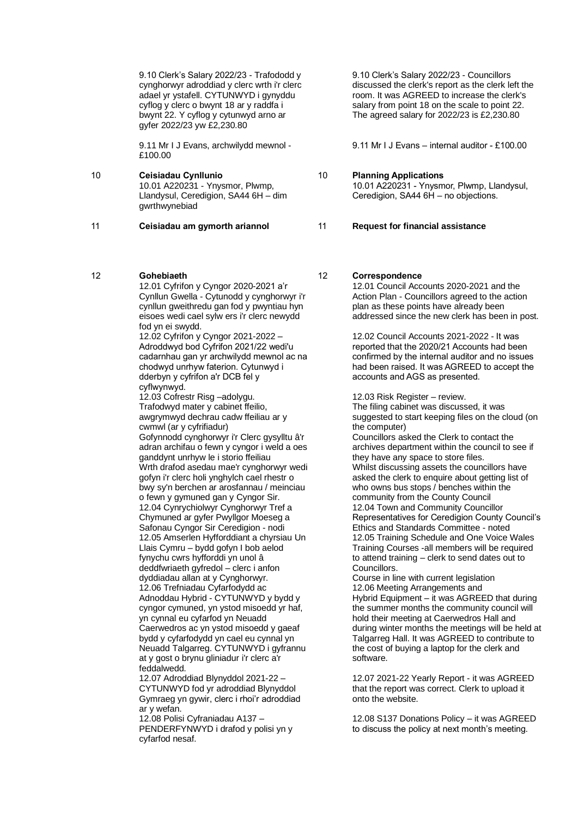9.10 Clerk's Salary 2022/23 - Trafododd y cynghorwyr adroddiad y clerc wrth i'r clerc adael yr ystafell. CYTUNWYD i gynyddu cyflog y clerc o bwynt 18 ar y raddfa i bwynt 22. Y cyflog y cytunwyd arno ar gyfer 2022/23 yw £2,230.80

9.11 Mr I J Evans, archwilydd mewnol - £100.00

10 **Ceisiadau Cynllunio** 10.01 A220231 - Ynysmor, Plwmp, Llandysul, Ceredigion, SA44 6H – dim gwrthwynebiad

11 **Ceisiadau am gymorth ariannol**

### 12 **Gohebiaeth**

12.01 Cyfrifon y Cyngor 2020-2021 a'r Cynllun Gwella - Cytunodd y cynghorwyr i'r cynllun gweithredu gan fod y pwyntiau hyn eisoes wedi cael sylw ers i'r clerc newydd fod yn ei swydd.

12.02 Cyfrifon y Cyngor 2021-2022 – Adroddwyd bod Cyfrifon 2021/22 wedi'u cadarnhau gan yr archwilydd mewnol ac na chodwyd unrhyw faterion. Cytunwyd i dderbyn y cyfrifon a'r DCB fel y cyflwynwyd.

12.03 Cofrestr Risg –adolygu. Trafodwyd mater y cabinet ffeilio, awgrymwyd dechrau cadw ffeiliau ar y cwmwl (ar y cyfrifiadur) Gofynnodd cynghorwyr i'r Clerc gysylltu â'r adran archifau o fewn y cyngor i weld a oes ganddynt unrhyw le i storio ffeiliau Wrth drafod asedau mae'r cynghorwyr wedi

gofyn i'r clerc holi ynghylch cael rhestr o bwy sy'n berchen ar arosfannau / meinciau o fewn y gymuned gan y Cyngor Sir. 12.04 Cynrychiolwyr Cynghorwyr Tref a Chymuned ar gyfer Pwyllgor Moeseg a Safonau Cyngor Sir Ceredigion - nodi 12.05 Amserlen Hyfforddiant a chyrsiau Un Llais Cymru – bydd gofyn I bob aelod fynychu cwrs hyfforddi yn unol â deddfwriaeth gyfredol – clerc i anfon dyddiadau allan at y Cynghorwyr. 12.06 Trefniadau Cyfarfodydd ac Adnoddau Hybrid - CYTUNWYD y bydd y cyngor cymuned, yn ystod misoedd yr haf, yn cynnal eu cyfarfod yn Neuadd Caerwedros ac yn ystod misoedd y gaeaf bydd y cyfarfodydd yn cael eu cynnal yn Neuadd Talgarreg. CYTUNWYD i gyfrannu

at y gost o brynu gliniadur i'r clerc a'r feddalwedd. 12.07 Adroddiad Blynyddol 2021-22 –

CYTUNWYD fod yr adroddiad Blynyddol Gymraeg yn gywir, clerc i rhoi'r adroddiad ar y wefan.

12.08 Polisi Cyfraniadau A137 – PENDERFYNWYD i drafod y polisi yn y cyfarfod nesaf.

9.10 Clerk's Salary 2022/23 - Councillors discussed the clerk's report as the clerk left the room. It was AGREED to increase the clerk's salary from point 18 on the scale to point 22. The agreed salary for 2022/23 is £2,230.80

9.11 Mr I J Evans – internal auditor - £100.00

#### 10 **Planning Applications**

10.01 A220231 - Ynysmor, Plwmp, Llandysul, Ceredigion, SA44 6H – no objections.

11 **Request for financial assistance**

#### 12 **Correspondence**

12.01 Council Accounts 2020-2021 and the Action Plan - Councillors agreed to the action plan as these points have already been addressed since the new clerk has been in post.

12.02 Council Accounts 2021-2022 - It was reported that the 2020/21 Accounts had been confirmed by the internal auditor and no issues had been raised. It was AGREED to accept the accounts and AGS as presented.

12.03 Risk Register – review.

The filing cabinet was discussed, it was suggested to start keeping files on the cloud (on the computer)

Councillors asked the Clerk to contact the archives department within the council to see if they have any space to store files. Whilst discussing assets the councillors have asked the clerk to enquire about getting list of who owns bus stops / benches within the community from the County Council 12.04 Town and Community Councillor Representatives for Ceredigion County Council's Ethics and Standards Committee - noted 12.05 Training Schedule and One Voice Wales Training Courses -all members will be required to attend training – clerk to send dates out to Councillors.

Course in line with current legislation 12.06 Meeting Arrangements and Hybrid Equipment – it was AGREED that during the summer months the community council will hold their meeting at Caerwedros Hall and during winter months the meetings will be held at Talgarreg Hall. It was AGREED to contribute to the cost of buying a laptop for the clerk and software.

12.07 2021-22 Yearly Report - it was AGREED that the report was correct. Clerk to upload it onto the website.

12.08 S137 Donations Policy – it was AGREED to discuss the policy at next month's meeting.